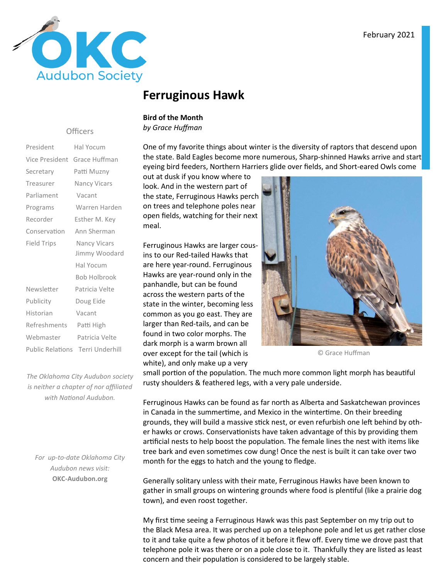

### **Ferruginous Hawk**

#### **Bird of the Month**

*by Grace Huffman*

One of my favorite things about winter is the diversity of raptors that descend upon the state. Bald Eagles become more numerous, Sharp-shinned Hawks arrive and start eyeing bird feeders, Northern Harriers glide over fields, and Short-eared Owls come

out at dusk if you know where to look. And in the western part of the state, Ferruginous Hawks perch on trees and telephone poles near open fields, watching for their next meal.

Ferruginous Hawks are larger cousins to our Red-tailed Hawks that are here year-round. Ferruginous Hawks are year-round only in the panhandle, but can be found across the western parts of the state in the winter, becoming less common as you go east. They are larger than Red-tails, and can be found in two color morphs. The dark morph is a warm brown all over except for the tail (which is white), and only make up a very



© Grace Huffman

small portion of the population. The much more common light morph has beautiful rusty shoulders & feathered legs, with a very pale underside.

Ferruginous Hawks can be found as far north as Alberta and Saskatchewan provinces in Canada in the summertime, and Mexico in the wintertime. On their breeding grounds, they will build a massive stick nest, or even refurbish one left behind by other hawks or crows. Conservationists have taken advantage of this by providing them artificial nests to help boost the population. The female lines the nest with items like tree bark and even sometimes cow dung! Once the nest is built it can take over two month for the eggs to hatch and the young to fledge.

Generally solitary unless with their mate, Ferruginous Hawks have been known to gather in small groups on wintering grounds where food is plentiful (like a prairie dog town), and even roost together.

My first time seeing a Ferruginous Hawk was this past September on my trip out to the Black Mesa area. It was perched up on a telephone pole and let us get rather close to it and take quite a few photos of it before it flew off. Every time we drove past that telephone pole it was there or on a pole close to it. Thankfully they are listed as least concern and their population is considered to be largely stable.

#### **Officers**

| President                    | Hal Yocum                               |  |  |  |
|------------------------------|-----------------------------------------|--|--|--|
| Vice President Grace Huffman |                                         |  |  |  |
| Secretary                    | Patti Muzny                             |  |  |  |
| Treasurer                    | <b>Nancy Vicars</b>                     |  |  |  |
| Parliament                   | Vacant                                  |  |  |  |
| Programs                     | Warren Harden                           |  |  |  |
| Recorder                     | Esther M. Key                           |  |  |  |
| Conservation                 | Ann Sherman                             |  |  |  |
| <b>Field Trips</b>           | <b>Nancy Vicars</b>                     |  |  |  |
|                              | Jimmy Woodard                           |  |  |  |
|                              | Hal Yocum                               |  |  |  |
|                              | <b>Bob Holbrook</b>                     |  |  |  |
| Newsletter                   | Patricia Velte                          |  |  |  |
| Publicity                    | Doug Eide                               |  |  |  |
| Historian                    | Vacant                                  |  |  |  |
| Refreshments                 | Patti High                              |  |  |  |
| Webmaster                    | Patricia Velte                          |  |  |  |
|                              | <b>Public Relations Terri Underhill</b> |  |  |  |

*The Oklahoma City Audubon society is neither a chapter of nor affiliated*  with National Audubon.

*For up-to-date Oklahoma City Audubon news visit:* **OKC-Audubon.org**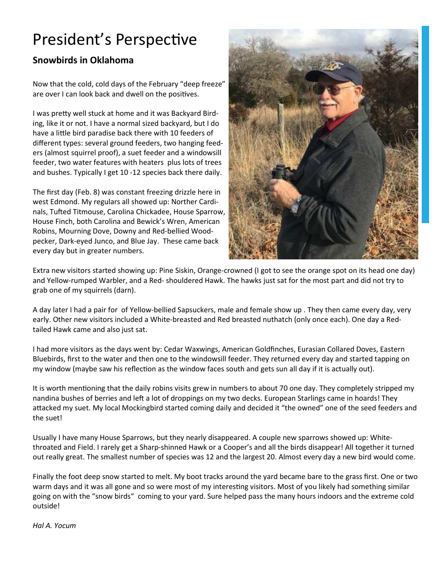# President's Perspective

### **Snowbirds in Oklahoma**

Now that the cold, cold days of the February "deep freeze" are over I can look back and dwell on the positives.

I was pretty well stuck at home and it was Backyard Birding, like it or not. I have a normal sized backyard, but I do have a little bird paradise back there with 10 feeders of different types: several ground feeders, two hanging feeders (almost squirrel proof), a suet feeder and a windowsill feeder, two water features with heaters plus lots of trees and bushes. Typically I get 10 -12 species back there daily.

The first day (Feb. 8) was constant freezing drizzle here in west Edmond. My regulars all showed up: Norther Cardinals, Tufted Titmouse, Carolina Chickadee, House Sparrow, House Finch, both Carolina and Bewick's Wren, American Robins, Mourning Dove, Downy and Red-bellied Woodpecker, Dark-eyed Junco, and Blue Jay. These came back every day but in greater numbers.



Extra new visitors started showing up: Pine Siskin, Orange-crowned (I got to see the orange spot on its head one day) and Yellow-rumped Warbler, and a Red- shouldered Hawk. The hawks just sat for the most part and did not try to grab one of my squirrels (darn).

A day later I had a pair for of Yellow-bellied Sapsuckers, male and female show up . They then came every day, very early. Other new visitors included a White-breasted and Red breasted nuthatch (only once each). One day a Redtailed Hawk came and also just sat.

I had more visitors as the days went by: Cedar Waxwings, American Goldfinches, Eurasian Collared Doves, Eastern Bluebirds, first to the water and then one to the windowsill feeder. They returned every day and started tapping on my window (maybe saw his reflection as the window faces south and gets sun all day if it is actually out).

It is worth mentioning that the daily robins visits grew in numbers to about 70 one day. They completely stripped my nandina bushes of berries and left a lot of droppings on my two decks. European Starlings came in hoards! They attacked my suet. My local Mockingbird started coming daily and decided it "the owned" one of the seed feeders and the suet!

Usually I have many House Sparrows, but they nearly disappeared. A couple new sparrows showed up: Whitethroated and Field. I rarely get a Sharp-shinned Hawk or a Cooper's and all the birds disappear! All together it turned out really great. The smallest number of species was 12 and the largest 20. Almost every day a new bird would come.

Finally the foot deep snow started to melt. My boot tracks around the yard became bare to the grass first. One or two warm days and it was all gone and so were most of my interesting visitors. Most of you likely had something similar going on with the "snow birds" coming to your yard. Sure helped pass the many hours indoors and the extreme cold outside!

*Hal A. Yocum*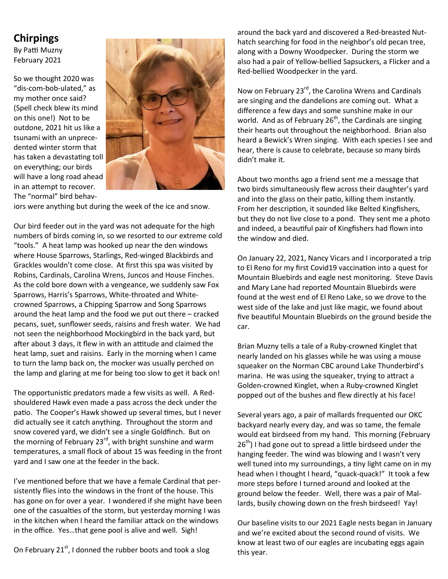### **Chirpings**

By Patti Muzny February 2021

So we thought 2020 was "dis-com-bob-ulated," as my mother once said? (Spell check blew its mind on this one!) Not to be outdone, 2021 hit us like a tsunami with an unprecedented winter storm that has taken a devastating toll on everything; our birds will have a long road ahead in an attempt to recover. The "normal" bird behav-



iors were anything but during the week of the ice and snow.

Our bird feeder out in the yard was not adequate for the high numbers of birds coming in, so we resorted to our extreme cold "tools." A heat lamp was hooked up near the den windows where House Sparrows, Starlings, Red-winged Blackbirds and Grackles wouldn't come close. At first this spa was visited by Robins, Cardinals, Carolina Wrens, Juncos and House Finches. As the cold bore down with a vengeance, we suddenly saw Fox Sparrows, Harris's Sparrows, White-throated and Whitecrowned Sparrows, a Chipping Sparrow and Song Sparrows around the heat lamp and the food we put out there – cracked pecans, suet, sunflower seeds, raisins and fresh water. We had not seen the neighborhood Mockingbird in the back yard, but after about 3 days, it flew in with an attitude and claimed the heat lamp, suet and raisins. Early in the morning when I came to turn the lamp back on, the mocker was usually perched on the lamp and glaring at me for being too slow to get it back on!

The opportunistic predators made a few visits as well. A Redshouldered Hawk even made a pass across the deck under the patio. The Cooper's Hawk showed up several times, but I never did actually see it catch anything. Throughout the storm and snow covered yard, we didn't see a single Goldfinch. But on the morning of February 23<sup>rd</sup>, with bright sunshine and warm temperatures, a small flock of about 15 was feeding in the front yard and I saw one at the feeder in the back.

I've mentioned before that we have a female Cardinal that persistently flies into the windows in the front of the house. This has gone on for over a year. I wondered if she might have been one of the casualties of the storm, but yesterday morning I was in the kitchen when I heard the familiar attack on the windows in the office. Yes…that gene pool is alive and well. Sigh!

On February  $21^{st}$ , I donned the rubber boots and took a slog

around the back yard and discovered a Red-breasted Nuthatch searching for food in the neighbor's old pecan tree, along with a Downy Woodpecker. During the storm we also had a pair of Yellow-bellied Sapsuckers, a Flicker and a Red-bellied Woodpecker in the yard.

Now on February 23<sup>rd</sup>, the Carolina Wrens and Cardinals are singing and the dandelions are coming out. What a difference a few days and some sunshine make in our world. And as of February  $26<sup>th</sup>$ , the Cardinals are singing their hearts out throughout the neighborhood. Brian also heard a Bewick's Wren singing. With each species I see and hear, there is cause to celebrate, because so many birds didn't make it.

About two months ago a friend sent me a message that two birds simultaneously flew across their daughter's yard and into the glass on their patio, killing them instantly. From her description, it sounded like Belted Kingfishers, but they do not live close to a pond. They sent me a photo and indeed, a beautiful pair of Kingfishers had flown into the window and died.

On January 22, 2021, Nancy Vicars and I incorporated a trip to El Reno for my first Covid19 vaccination into a quest for Mountain Bluebirds and eagle nest monitoring. Steve Davis and Mary Lane had reported Mountain Bluebirds were found at the west end of El Reno Lake, so we drove to the west side of the lake and just like magic, we found about five beautiful Mountain Bluebirds on the ground beside the car.

Brian Muzny tells a tale of a Ruby-crowned Kinglet that nearly landed on his glasses while he was using a mouse squeaker on the Norman CBC around Lake Thunderbird's marina. He was using the squeaker, trying to attract a Golden-crowned Kinglet, when a Ruby-crowned Kinglet popped out of the bushes and flew directly at his face!

Several years ago, a pair of mallards frequented our OKC backyard nearly every day, and was so tame, the female would eat birdseed from my hand. This morning (February  $26<sup>th</sup>$ ) I had gone out to spread a little birdseed under the hanging feeder. The wind was blowing and I wasn't very well tuned into my surroundings, a tiny light came on in my head when I thought I heard, "quack-quack!" It took a few more steps before I turned around and looked at the ground below the feeder. Well, there was a pair of Mallards, busily chowing down on the fresh birdseed! Yay!

Our baseline visits to our 2021 Eagle nests began in January and we're excited about the second round of visits. We know at least two of our eagles are incubating eggs again this year.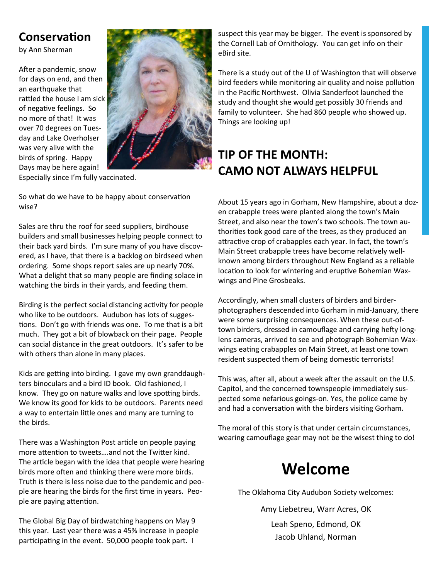### **Conservation**

by Ann Sherman

After a pandemic, snow for days on end, and then an earthquake that rattled the house I am sick of negative feelings. So no more of that! It was over 70 degrees on Tuesday and Lake Overholser was very alive with the birds of spring. Happy Days may be here again!



Especially since I'm fully vaccinated.

So what do we have to be happy about conservation wise?

Sales are thru the roof for seed suppliers, birdhouse builders and small businesses helping people connect to their back yard birds. I'm sure many of you have discovered, as I have, that there is a backlog on birdseed when ordering. Some shops report sales are up nearly 70%. What a delight that so many people are finding solace in watching the birds in their yards, and feeding them.

Birding is the perfect social distancing activity for people who like to be outdoors. Audubon has lots of sugges tions. Don't go with friends was one. To me that is a bit much. They got a bit of blowback on their page. People can social distance in the great outdoors. It's safer to be with others than alone in many places.

Kids are getting into birding. I gave my own granddaughters binoculars and a bird ID book. Old fashioned, I know. They go on nature walks and love spotting birds. We know its good for kids to be outdoors. Parents need a way to entertain little ones and many are turning to the birds.

There was a Washington Post article on people paying more attention to tweets....and not the Twitter kind. The article began with the idea that people were hearing birds more often and thinking there were more birds. Truth is there is less noise due to the pandemic and people are hearing the birds for the first time in years. People are paying attention.

The Global Big Day of birdwatching happens on May 9 this year. Last year there was a 45% increase in people participating in the event. 50,000 people took part. I

suspect this year may be bigger. The event is sponsored by the Cornell Lab of Ornithology. You can get info on their eBird site.

There is a study out of the U of Washington that will observe bird feeders while monitoring air quality and noise pollution in the Pacific Northwest. Olivia Sanderfoot launched the study and thought she would get possibly 30 friends and family to volunteer. She had 860 people who showed up. Things are looking up!

### **TIP OF THE MONTH: CAMO NOT ALWAYS HELPFUL**

About 15 years ago in Gorham, New Hampshire, about a dozen crabapple trees were planted along the town's Main Street, and also near the town's two schools. The town authorities took good care of the trees, as they produced an attractive crop of crabapples each year. In fact, the town's Main Street crabapple trees have become relatively wellknown among birders throughout New England as a reliable location to look for wintering and eruptive Bohemian Waxwings and Pine Grosbeaks.

Accordingly, when small clusters of birders and birderphotographers descended into Gorham in mid-January, there were some surprising consequences. When these out-oftown birders, dressed in camouflage and carrying hefty longlens cameras, arrived to see and photograph Bohemian Waxwings eating crabapples on Main Street, at least one town resident suspected them of being domestic terrorists!

This was, after all, about a week after the assault on the U.S. Capitol, and the concerned townspeople immediately suspected some nefarious goings-on. Yes, the police came by and had a conversation with the birders visiting Gorham.

The moral of this story is that under certain circumstances, wearing camouflage gear may not be the wisest thing to do!

## **Welcome**

The Oklahoma City Audubon Society welcomes:

Amy Liebetreu, Warr Acres, OK Leah Speno, Edmond, OK Jacob Uhland, Norman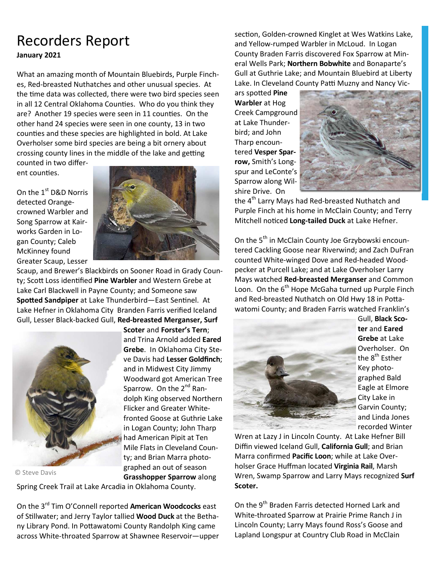### Recorders Report **January 2021**

What an amazing month of Mountain Bluebirds, Purple Finches, Red-breasted Nuthatches and other unusual species. At the time data was collected, there were two bird species seen in all 12 Central Oklahoma Counties. Who do you think they are? Another 19 species were seen in 11 counties. On the other hand 24 species were seen in one county, 13 in two counties and these species are highlighted in bold. At Lake Overholser some bird species are being a bit ornery about crossing county lines in the middle of the lake and getting

counted in two different counties.

On the 1<sup>st</sup> D&D Norris detected Orangecrowned Warbler and Song Sparrow at Kairworks Garden in Logan County; Caleb McKinney found Greater Scaup, Lesser



Scaup, and Brewer's Blackbirds on Sooner Road in Grady County; Scott Loss identified Pine Warbler and Western Grebe at Lake Carl Blackwell in Payne County; and Someone saw **Spotted Sandpiper** at Lake Thunderbird—East Sentinel. At Lake Hefner in Oklahoma City Branden Farris verified Iceland Gull, Lesser Black-backed Gull, **Red-breasted Merganser, Surf** 



© Steve Davis

**Scoter** and **Forster's Tern**; and Trina Arnold added **Eared Grebe**. In Oklahoma City Steve Davis had **Lesser Goldfinch**; and in Midwest City Jimmy Woodward got American Tree Sparrow. On the  $2^{nd}$  Randolph King observed Northern Flicker and Greater Whitefronted Goose at Guthrie Lake in Logan County; John Tharp had American Pipit at Ten Mile Flats in Cleveland County; and Brian Marra photographed an out of season **Grasshopper Sparrow** along

Spring Creek Trail at Lake Arcadia in Oklahoma County.

On the 3rd Tim O'Connell reported **American Woodcocks** east of Stillwater; and Jerry Taylor tallied **Wood Duck** at the Bethany Library Pond. In Pottawatomi County Randolph King came across White-throated Sparrow at Shawnee Reservoir—upper section, Golden-crowned Kinglet at Wes Watkins Lake, and Yellow-rumped Warbler in McLoud. In Logan County Braden Farris discovered Fox Sparrow at Mineral Wells Park; **Northern Bobwhite** and Bonaparte's Gull at Guthrie Lake; and Mountain Bluebird at Liberty Lake. In Cleveland County Patti Muzny and Nancy Vic-

ars spotted Pine **Warbler** at Hog Creek Campground at Lake Thunderbird; and John Tharp encountered **Vesper Sparrow,** Smith's Longspur and LeConte's Sparrow along Wilshire Drive. On



the 4<sup>th</sup> Larry Mays had Red-breasted Nuthatch and Purple Finch at his home in McClain County; and Terry Mitchell noticed Long-tailed Duck at Lake Hefner.

On the 5<sup>th</sup> in McClain County Joe Grzybowski encountered Cackling Goose near Riverwind; and Zach DuFran counted White-winged Dove and Red-headed Woodpecker at Purcell Lake; and at Lake Overholser Larry Mays watched **Red-breasted Merganser** and Common Loon. On the  $6<sup>th</sup>$  Hope McGaha turned up Purple Finch and Red-breasted Nuthatch on Old Hwy 18 in Pottawatomi County; and Braden Farris watched Franklin's



Gull, **Black Scoter** and **Eared Grebe** at Lake Overholser. On the 8<sup>th</sup> Esther Key photographed Bald Eagle at Elmore City Lake in Garvin County; and Linda Jones recorded Winter

Wren at Lazy J in Lincoln County. At Lake Hefner Bill Diffin viewed Iceland Gull, **California Gull**; and Brian Marra confirmed **Pacific Loon**; while at Lake Overholser Grace Huffman located **Virginia Rail**, Marsh Wren, Swamp Sparrow and Larry Mays recognized **Surf Scoter.** 

On the 9<sup>th</sup> Braden Farris detected Horned Lark and White-throated Sparrow at Prairie Prime Ranch J in Lincoln County; Larry Mays found Ross's Goose and Lapland Longspur at Country Club Road in McClain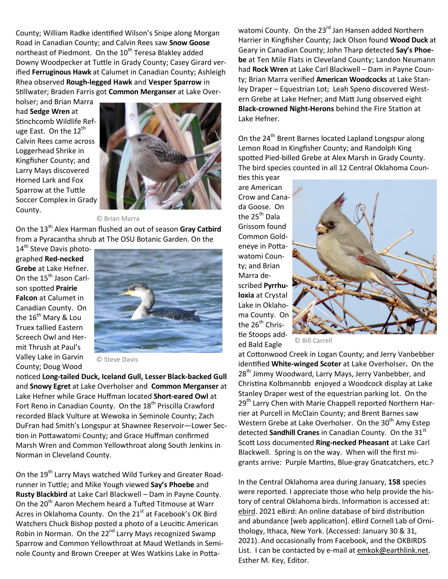County; William Radke identified Wilson's Snipe along Morgan Road in Canadian County; and Calvin Rees saw **Snow Goose** northeast of Piedmont. On the 10<sup>th</sup> Teresa Blakley added Downy Woodpecker at Tuttle in Grady County; Casey Girard verified **Ferruginous Hawk** at Calumet in Canadian County; Ashleigh Rhea observed **Rough-legged Hawk** and **Vesper Sparrow** in Stillwater; Braden Farris got **Common Merganser** at Lake Over-

holser; and Brian Marra had **Sedge Wren** at Stinchcomb Wildlife Refuge East. On the 12<sup>th</sup> Calvin Rees came across Loggerhead Shrike in Kingfisher County; and Larry Mays discovered Horned Lark and Fox Sparrow at the Tuttle Soccer Complex in Grady County.



© Brian Marra

On the 13<sup>th</sup> Alex Harman flushed an out of season Gray Catbird from a Pyracantha shrub at The OSU Botanic Garden. On the

14<sup>th</sup> Steve Davis photographed **Red-necked Grebe** at Lake Hefner. On the 15<sup>th</sup> Jason Carlson spotted Prairie **Falcon** at Calumet in Canadian County. On the 16<sup>th</sup> Mary & Lou Truex tallied Eastern Screech Owl and Hermit Thrush at Paul's Valley Lake in Garvin County; Doug Wood



© Steve Davis

noticed Long-tailed Duck, Iceland Gull, Lesser Black-backed Gull and **Snowy Egret** at Lake Overholser and **Common Merganser** at Lake Hefner while Grace Huffman located **Short-eared Owl** at Fort Reno in Canadian County. On the 18<sup>th</sup> Priscilla Crawford recorded Black Vulture at Wewoka in Seminole County; Zach DuFran had Smith's Longspur at Shawnee Reservoir—Lower Sec tion in Pottawatomi County; and Grace Huffman confirmed Marsh Wren and Common Yellowthroat along South Jenkins in Norman in Cleveland County.

On the 19<sup>th</sup> Larry Mays watched Wild Turkey and Greater Roadrunner in Tuttle; and Mike Yough viewed Say's Phoebe and **Rusty Blackbird** at Lake Carl Blackwell – Dam in Payne County. On the 20<sup>th</sup> Aaron Mechem heard a Tufted Titmouse at Warr Acres in Oklahoma County. On the 21<sup>st</sup> at Facebook's OK Bird Watchers Chuck Bishop posted a photo of a Leucitic American Robin in Norman. On the 22<sup>nd</sup> Larry Mays recognized Swamp Sparrow and Common Yellowthroat at Maud Wetlands in Seminole County and Brown Creeper at Wes Watkins Lake in Pottawatomi County. On the 23<sup>rd</sup> Jan Hansen added Northern Harrier in Kingfisher County; Jack Olson found **Wood Duck** at Geary in Canadian County; John Tharp detected **Say's Phoebe** at Ten Mile Flats in Cleveland County; Landon Neumann had **Rock Wren** at Lake Carl Blackwell – Dam in Payne County; Brian Marra verified **American Woodcocks** at Lake Stanley Draper – Equestrian Lot; Leah Speno discovered Western Grebe at Lake Hefner; and Matt Jung observed eight **Black-crowned Night-Herons** behind the Fire Station at Lake Hefner.

On the 24<sup>th</sup> Brent Barnes located Lapland Longspur along Lemon Road in Kingfisher County; and Randolph King spotted Pied-billed Grebe at Alex Marsh in Grady County. The bird species counted in all 12 Central Oklahoma Coun ties this year

are American Crow and Canada Goose. On the 25<sup>th</sup> Dala Grissom found Common Goldeneye in Pottawatomi County; and Brian Marra described **Pyrrhuloxia** at Crystal Lake in Oklahoma County. On the  $26<sup>th</sup>$  Christie Stoops added Bald Eagle



© Bill Carrell

at Cottonwood Creek in Logan County; and Jerry Vanbebber iden'fied **White-winged Scoter** at Lake Overholser**.** On the 28<sup>th</sup> Jimmy Woodward, Larry Mays, Jerry Vanbebber, and Christina Kolbmannbb enjoyed a Woodcock display at Lake Stanley Draper west of the equestrian parking lot. On the 29<sup>th</sup> Larry Chen with Marie Chappell reported Northern Harrier at Purcell in McClain County; and Brent Barnes saw Western Grebe at Lake Overholser. On the 30<sup>th</sup> Amy Estep detected **Sandhill Cranes** in Canadian County. On the 31<sup>st</sup> Scott Loss documented Ring-necked Pheasant at Lake Carl Blackwell. Spring is on the way. When will the first migrants arrive: Purple Martins, Blue-gray Gnatcatchers, etc.?

In the Central Oklahoma area during January, **158** species were reported. I appreciate those who help provide the history of central Oklahoma birds. Information is accessed at: ebird. 2021 eBird: An online database of bird distribution and abundance [web application]. eBird Cornell Lab of Ornithology, Ithaca, New York. (Accessed: January 30 & 31, 2021). And occasionally from Facebook, and the OKBIRDS List. I can be contacted by e-mail at emkok@earthlink.net. Esther M. Key, Editor.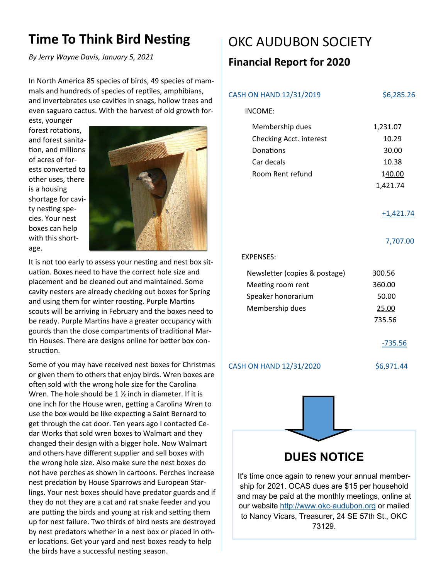### **Time To Think Bird Nesting**

*By Jerry Wayne Davis, January 5, 2021* 

In North America 85 species of birds, 49 species of mammals and hundreds of species of reptiles, amphibians, and invertebrates use cavities in snags, hollow trees and even saguaro cactus. With the harvest of old growth for-

ests, younger forest rotations, and forest sanita tion, and millions of acres of forests converted to other uses, there is a housing shortage for cavity nesting species. Your nest boxes can help with this shortage.



It is not too early to assess your nesting and nest box situation. Boxes need to have the correct hole size and placement and be cleaned out and maintained. Some cavity nesters are already checking out boxes for Spring and using them for winter roosting. Purple Martins scouts will be arriving in February and the boxes need to be ready. Purple Martins have a greater occupancy with gourds than the close compartments of traditional Martin Houses. There are designs online for better box construction.

Some of you may have received nest boxes for Christmas or given them to others that enjoy birds. Wren boxes are often sold with the wrong hole size for the Carolina Wren. The hole should be  $1 \frac{1}{2}$  inch in diameter. If it is one inch for the House wren, getting a Carolina Wren to use the box would be like expecting a Saint Bernard to get through the cat door. Ten years ago I contacted Cedar Works that sold wren boxes to Walmart and they changed their design with a bigger hole. Now Walmart and others have different supplier and sell boxes with the wrong hole size. Also make sure the nest boxes do not have perches as shown in cartoons. Perches increase nest predation by House Sparrows and European Starlings. Your nest boxes should have predator guards and if they do not they are a cat and rat snake feeder and you are putting the birds and young at risk and setting them up for nest failure. Two thirds of bird nests are destroyed by nest predators whether in a nest box or placed in other locations. Get your yard and nest boxes ready to help the birds have a successful nesting season.

## OKC AUDUBON SOCIETY

### **Financial Report for 2020**

|                | CASH ON HAND 12/31/2019                                                                                                                                                                                                                                                     | \$6,285.26                                                |  |  |  |  |  |
|----------------|-----------------------------------------------------------------------------------------------------------------------------------------------------------------------------------------------------------------------------------------------------------------------------|-----------------------------------------------------------|--|--|--|--|--|
| <b>INCOME:</b> |                                                                                                                                                                                                                                                                             |                                                           |  |  |  |  |  |
|                | Membership dues<br>Checking Acct. interest<br>Donations<br>Car decals<br>Room Rent refund                                                                                                                                                                                   | 1,231.07<br>10.29<br>30.00<br>10.38<br>140.00<br>1,421.74 |  |  |  |  |  |
|                |                                                                                                                                                                                                                                                                             | $+1,421.74$                                               |  |  |  |  |  |
|                |                                                                                                                                                                                                                                                                             | 7,707.00                                                  |  |  |  |  |  |
|                | <b>EXPENSES:</b>                                                                                                                                                                                                                                                            |                                                           |  |  |  |  |  |
|                | Newsletter (copies & postage)<br>Meeting room rent<br>Speaker honorarium<br>Membership dues                                                                                                                                                                                 | 300.56<br>360.00<br>50.00<br>25.00<br>735.56<br>$-735.56$ |  |  |  |  |  |
|                | CASH ON HAND 12/31/2020                                                                                                                                                                                                                                                     | \$6,971.44                                                |  |  |  |  |  |
|                |                                                                                                                                                                                                                                                                             |                                                           |  |  |  |  |  |
|                | <b>DUES NOTICE</b>                                                                                                                                                                                                                                                          |                                                           |  |  |  |  |  |
|                | It's time once again to renew your annual member-<br>ship for 2021. OCAS dues are \$15 per household<br>and may be paid at the monthly meetings, online at<br>our website http://www.okc-audubon.org or mailed<br>to Nancy Vicars, Treasurer, 24 SE 57th St., OKC<br>73129. |                                                           |  |  |  |  |  |